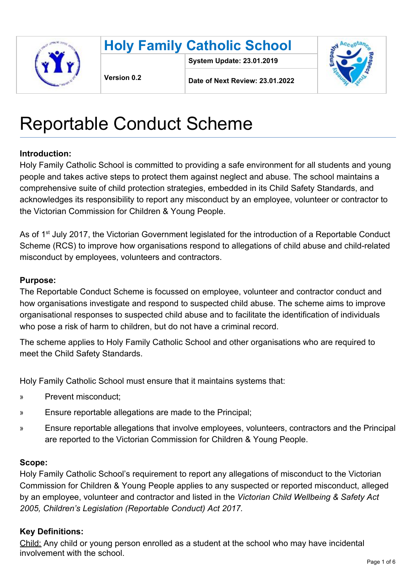



**System Update: 23.01.2019**



**Version 0.2**

**Date of Next Review: 23.01.2022**

# Reportable Conduct Scheme

# **Introduction:**

Holy Family Catholic School is committed to providing a safe environment for all students and young people and takes active steps to protect them against neglect and abuse. The school maintains a comprehensive suite of child protection strategies, embedded in its Child Safety Standards, and acknowledges its responsibility to report any misconduct by an employee, volunteer or contractor to the Victorian Commission for Children & Young People.

As of 1<sup>st</sup> July 2017, the Victorian Government legislated for the introduction of a Reportable Conduct Scheme (RCS) to improve how organisations respond to allegations of child abuse and child-related misconduct by employees, volunteers and contractors.

# **Purpose:**

The Reportable Conduct Scheme is focussed on employee, volunteer and contractor conduct and how organisations investigate and respond to suspected child abuse. The scheme aims to improve organisational responses to suspected child abuse and to facilitate the identification of individuals who pose a risk of harm to children, but do not have a criminal record.

The scheme applies to Holy Family Catholic School and other organisations who are required to meet the Child Safety Standards.

Holy Family Catholic School must ensure that it maintains systems that:

- » Prevent misconduct;
- » Ensure reportable allegations are made to the Principal;
- » Ensure reportable allegations that involve employees, volunteers, contractors and the Principal are reported to the Victorian Commission for Children & Young People.

#### **Scope:**

Holy Family Catholic School's requirement to report any allegations of misconduct to the Victorian Commission for Children & Young People applies to any suspected or reported misconduct, alleged by an employee, volunteer and contractor and listed in the *Victorian Child Wellbeing & Safety Act 2005, Children's Legislation (Reportable Conduct) Act 2017.*

# **Key Definitions:**

Child: Any child or young person enrolled as a student at the school who may have incidental involvement with the school.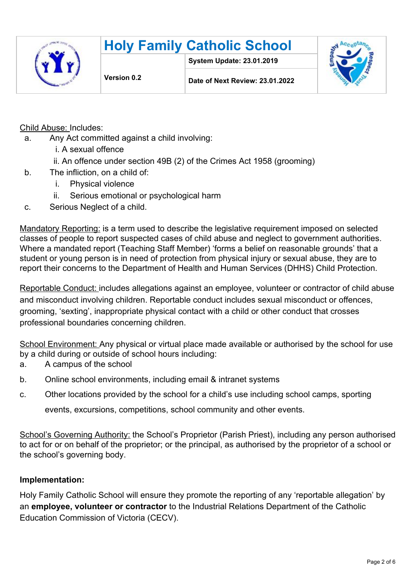



**System Update: 23.01.2019**



**Date of Next Review: 23.01.2022**

Child Abuse: Includes:

- a. Any Act committed against a child involving:
	- i. A sexual offence
	- ii. An offence under section 49B (2) of the Crimes Act 1958 (grooming)
- b. The infliction, on a child of:
	- i. Physical violence
	- ii. Serious emotional or psychological harm
- c. Serious Neglect of a child.

Mandatory Reporting: is a term used to describe the legislative requirement imposed on selected classes of people to report suspected cases of child abuse and neglect to government authorities. Where a mandated report (Teaching Staff Member) 'forms a belief on reasonable grounds' that a student or young person is in need of protection from physical injury or sexual abuse, they are to report their concerns to the Department of Health and Human Services (DHHS) Child Protection.

Reportable Conduct: includes allegations against an employee, volunteer or contractor of child abuse and misconduct involving children. Reportable conduct includes sexual misconduct or offences, grooming, 'sexting', inappropriate physical contact with a child or other conduct that crosses professional boundaries concerning children.

School Environment: Any physical or virtual place made available or authorised by the school for use by a child during or outside of school hours including:

- a. A campus of the school
- b. Online school environments, including email & intranet systems
- c. Other locations provided by the school for a child's use including school camps, sporting

events, excursions, competitions, school community and other events.

School's Governing Authority: the School's Proprietor (Parish Priest), including any person authorised to act for or on behalf of the proprietor; or the principal, as authorised by the proprietor of a school or the school's governing body.

#### **Implementation:**

Holy Family Catholic School will ensure they promote the reporting of any 'reportable allegation' by an **employee, volunteer or contractor** to the Industrial Relations Department of the Catholic Education Commission of Victoria (CECV).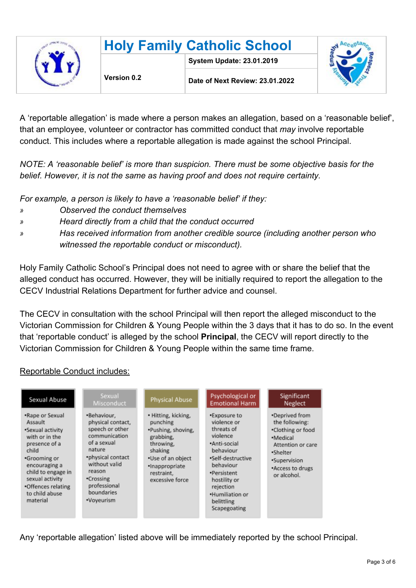

A 'reportable allegation' is made where a person makes an allegation, based on a 'reasonable belief', that an employee, volunteer or contractor has committed conduct that *may* involve reportable conduct. This includes where a reportable allegation is made against the school Principal.

*NOTE: A 'reasonable belief' is more than suspicion. There must be some objective basis for the belief. However, it is not the same as having proof and does not require certainty.*

*For example, a person is likely to have a 'reasonable belief' if they:*

- *» Observed the conduct themselves*
- *» Heard directly from a child that the conduct occurred*
- *» Has received information from another credible source (including another person who witnessed the reportable conduct or misconduct).*

Holy Family Catholic School's Principal does not need to agree with or share the belief that the alleged conduct has occurred. However, they will be initially required to report the allegation to the CECV Industrial Relations Department for further advice and counsel.

The CECV in consultation with the school Principal will then report the alleged misconduct to the Victorian Commission for Children & Young People within the 3 days that it has to do so. In the event that 'reportable conduct' is alleged by the school **Principal**, the CECV will report directly to the Victorian Commission for Children & Young People within the same time frame.

#### Reportable Conduct includes:

| Sexual Abuse                                                                                                                                                                                                             | Sexual<br>Misconduct                                                                                                                                                                                   | Physical Abuse                                                                                                                                                     | Psychological or<br><b>Emotional Harm</b>                                                                                                                                                                         | Significant<br>Neglect                                                                                                                                |
|--------------------------------------------------------------------------------------------------------------------------------------------------------------------------------------------------------------------------|--------------------------------------------------------------------------------------------------------------------------------------------------------------------------------------------------------|--------------------------------------------------------------------------------------------------------------------------------------------------------------------|-------------------------------------------------------------------------------------------------------------------------------------------------------------------------------------------------------------------|-------------------------------------------------------------------------------------------------------------------------------------------------------|
| *Rape or Sexual<br>Assault<br>•Sexual activity<br>with or in the<br>presence of a<br>child<br>•Grooming or<br>encouraging a<br>child to engage in<br>sexual activity<br>•Offences relating<br>to child abuse<br>material | *Behaviour,<br>physical contact,<br>speech or other<br>communication<br>of a sexual<br>nature<br>*physical contact<br>without valid<br>reason<br>•Crossing<br>professional<br>boundaries<br>•Voyeurism | • Hitting, kicking,<br>punching<br>•Pushing, shoving,<br>grabbing,<br>throwing,<br>shaking<br>•Use of an object<br>·Inappropriate<br>restraint,<br>excessive force | *Exposure to<br>violence or<br>threats of<br>violence<br>·Anti-social<br>behaviour<br>•Self-destructive<br>behaviour<br>•Persistent<br>hostility or<br>rejection<br>*Humiliation or<br>belittling<br>Scapegoating | *Deprived from<br>the following:<br>•Clothing or food<br>·Medical<br>Attention or care<br>.Shelter<br>•Supervision<br>*Access to drugs<br>or alcohol. |

Any 'reportable allegation' listed above will be immediately reported by the school Principal.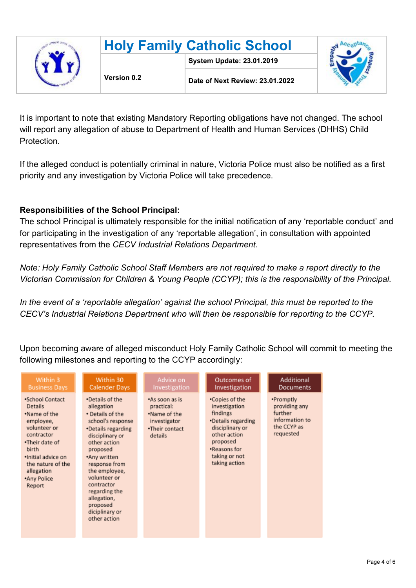|  | <b>Holy Family Catholic School</b> |                                  |  |
|--|------------------------------------|----------------------------------|--|
|  | Version 0.2                        | <b>System Update: 23.01.2019</b> |  |
|  |                                    | Date of Next Review: 23.01.2022  |  |

It is important to note that existing Mandatory Reporting obligations have not changed. The school will report any allegation of abuse to Department of Health and Human Services (DHHS) Child Protection.

If the alleged conduct is potentially criminal in nature, Victoria Police must also be notified as a first priority and any investigation by Victoria Police will take precedence.

#### **Responsibilities of the School Principal:**

The school Principal is ultimately responsible for the initial notification of any 'reportable conduct' and for participating in the investigation of any 'reportable allegation', in consultation with appointed representatives from the *CECV Industrial Relations Department*.

*Note: Holy Family Catholic School Staff Members are not required to make a report directly to the Victorian Commission for Children & Young People (CCYP); this is the responsibility of the Principal.*

*In the event of a 'reportable allegation' against the school Principal, this must be reported to the CECV's Industrial Relations Department who will then be responsible for reporting to the CCYP.*

Upon becoming aware of alleged misconduct Holy Family Catholic School will commit to meeting the following milestones and reporting to the CCYP accordingly:

| Within 3                                                                                                                                                                                                  | Within 30                                                                                                                                                                                                                                                                                                 | Advice on                                                                                 | Outcomes of                                                                                                                                                        | Additional                                                                          |
|-----------------------------------------------------------------------------------------------------------------------------------------------------------------------------------------------------------|-----------------------------------------------------------------------------------------------------------------------------------------------------------------------------------------------------------------------------------------------------------------------------------------------------------|-------------------------------------------------------------------------------------------|--------------------------------------------------------------------------------------------------------------------------------------------------------------------|-------------------------------------------------------------------------------------|
| <b>Business Days</b>                                                                                                                                                                                      | Calender Days                                                                                                                                                                                                                                                                                             | Investigation                                                                             | Investigation                                                                                                                                                      | Documents                                                                           |
| *School Contact<br><b>Details</b><br>.Name of the<br>employee,<br>volunteer or<br>contractor<br>.Their date of<br>birth<br>·Initial advice on<br>the nature of the<br>allegation<br>.Any Police<br>Report | •Details of the<br>allegation<br>• Details of the<br>school's response<br>•Details regarding<br>disciplinary or<br>other action<br>proposed<br>*Any written<br>response from<br>the employee,<br>volunteer or<br>contractor<br>regarding the<br>allegation,<br>proposed<br>diciplinary or<br>other action | .As soon as is<br>practical:<br>.Name of the<br>investigator<br>.Their contact<br>details | •Copies of the<br>investigation<br>findings<br>•Details regarding<br>disciplinary or<br>other action<br>proposed<br>.Reasons for<br>taking or not<br>taking action | •Promptly<br>providing any<br>further<br>information to<br>the CCYP as<br>requested |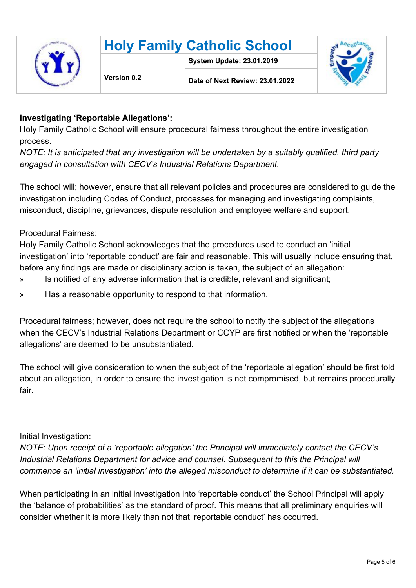

# **Holy Family Catholic School**

**System Update: 23.01.2019**



**Date of Next Review: 23.01.2022**

# **Investigating 'Reportable Allegations':**

Holy Family Catholic School will ensure procedural fairness throughout the entire investigation process.

*NOTE: It is anticipated that any investigation will be undertaken by a suitably qualified, third party engaged in consultation with CECV's Industrial Relations Department.*

The school will; however, ensure that all relevant policies and procedures are considered to guide the investigation including Codes of Conduct, processes for managing and investigating complaints, misconduct, discipline, grievances, dispute resolution and employee welfare and support.

# Procedural Fairness:

Holy Family Catholic School acknowledges that the procedures used to conduct an 'initial investigation' into 'reportable conduct' are fair and reasonable. This will usually include ensuring that, before any findings are made or disciplinary action is taken, the subject of an allegation:

- » Is notified of any adverse information that is credible, relevant and significant;
- » Has a reasonable opportunity to respond to that information.

Procedural fairness; however, does not require the school to notify the subject of the allegations when the CECV's Industrial Relations Department or CCYP are first notified or when the 'reportable allegations' are deemed to be unsubstantiated.

The school will give consideration to when the subject of the 'reportable allegation' should be first told about an allegation, in order to ensure the investigation is not compromised, but remains procedurally fair.

#### Initial Investigation:

*NOTE: Upon receipt of a 'reportable allegation' the Principal will immediately contact the CECV's Industrial Relations Department for advice and counsel. Subsequent to this the Principal will commence an 'initial investigation' into the alleged misconduct to determine if it can be substantiated.*

When participating in an initial investigation into 'reportable conduct' the School Principal will apply the 'balance of probabilities' as the standard of proof. This means that all preliminary enquiries will consider whether it is more likely than not that 'reportable conduct' has occurred.